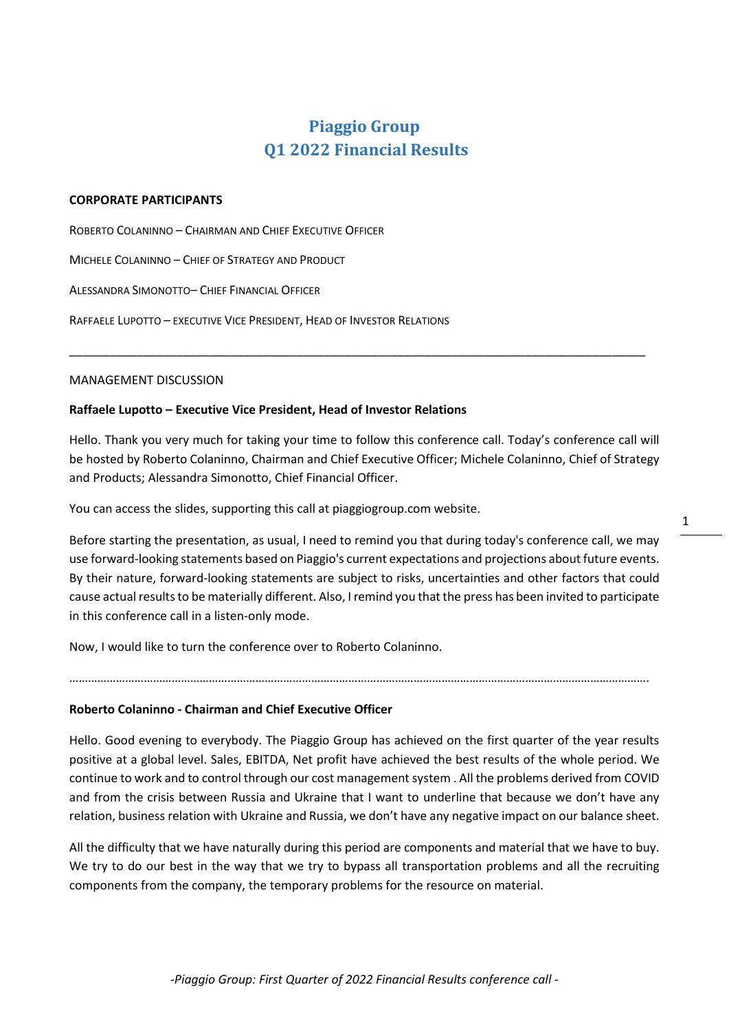# **Piaggio Group Q1 2022 Financial Results**

## **CORPORATE PARTICIPANTS**

ROBERTO COLANINNO – CHAIRMAN AND CHIEF EXECUTIVE OFFICER

MICHELE COLANINNO – CHIEF OF STRATEGY AND PRODUCT

ALESSANDRA SIMONOTTO– CHIEF FINANCIAL OFFICER

RAFFAELE LUPOTTO – EXECUTIVE VICE PRESIDENT, HEAD OF INVESTOR RELATIONS

## MANAGEMENT DISCUSSION

# **Raffaele Lupotto – Executive Vice President, Head of Investor Relations**

Hello. Thank you very much for taking your time to follow this conference call. Today's conference call will be hosted by Roberto Colaninno, Chairman and Chief Executive Officer; Michele Colaninno, Chief of Strategy and Products; Alessandra Simonotto, Chief Financial Officer.

\_\_\_\_\_\_\_\_\_\_\_\_\_\_\_\_\_\_\_\_\_\_\_\_\_\_\_\_\_\_\_\_\_\_\_\_\_\_\_\_\_\_\_\_\_\_\_\_\_\_\_\_\_\_\_\_\_\_\_\_\_\_\_\_\_\_\_\_\_\_\_\_\_\_\_\_\_\_\_\_\_\_\_\_\_\_

You can access the slides, supporting this call at piaggiogroup.com website.

Before starting the presentation, as usual, I need to remind you that during today's conference call, we may use forward-looking statements based on Piaggio's current expectations and projections about future events. By their nature, forward-looking statements are subject to risks, uncertainties and other factors that could cause actual results to be materially different. Also, I remind you that the press has been invited to participate in this conference call in a listen-only mode.

…………………………………………………………………………………………………………………………………………………………………….

Now, I would like to turn the conference over to Roberto Colaninno.

**Roberto Colaninno - Chairman and Chief Executive Officer**

Hello. Good evening to everybody. The Piaggio Group has achieved on the first quarter of the year results positive at a global level. Sales, EBITDA, Net profit have achieved the best results of the whole period. We continue to work and to control through our cost management system . All the problems derived from COVID and from the crisis between Russia and Ukraine that I want to underline that because we don't have any relation, business relation with Ukraine and Russia, we don't have any negative impact on our balance sheet.

All the difficulty that we have naturally during this period are components and material that we have to buy. We try to do our best in the way that we try to bypass all transportation problems and all the recruiting components from the company, the temporary problems for the resource on material.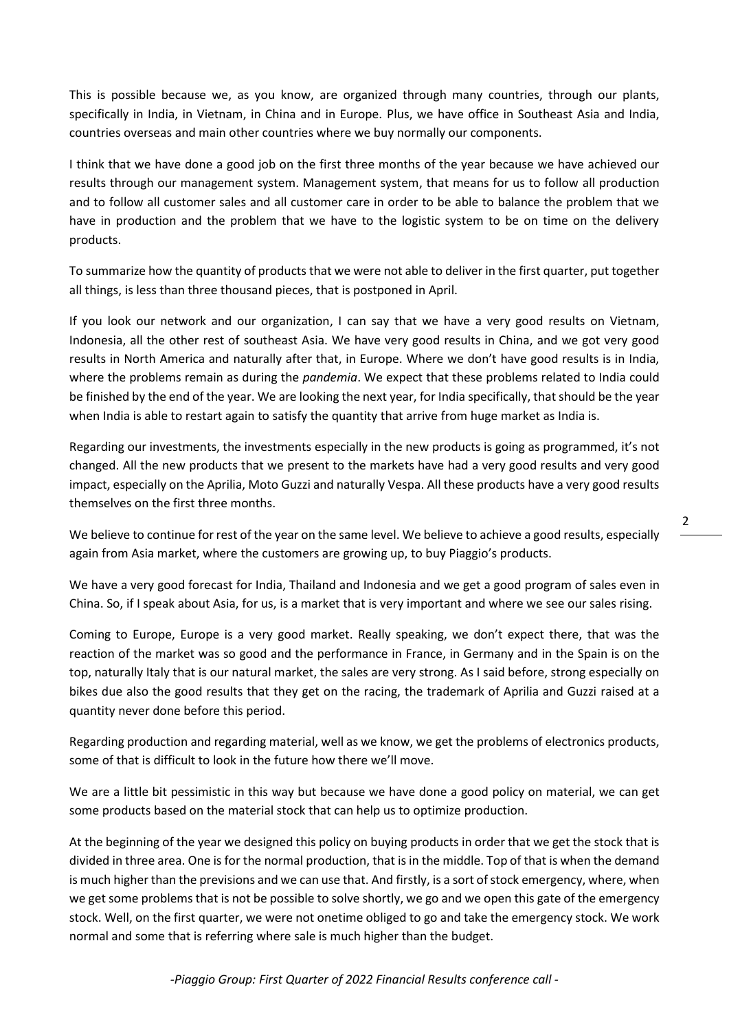This is possible because we, as you know, are organized through many countries, through our plants, specifically in India, in Vietnam, in China and in Europe. Plus, we have office in Southeast Asia and India, countries overseas and main other countries where we buy normally our components.

I think that we have done a good job on the first three months of the year because we have achieved our results through our management system. Management system, that means for us to follow all production and to follow all customer sales and all customer care in order to be able to balance the problem that we have in production and the problem that we have to the logistic system to be on time on the delivery products.

To summarize how the quantity of products that we were not able to deliver in the first quarter, put together all things, is less than three thousand pieces, that is postponed in April.

If you look our network and our organization, I can say that we have a very good results on Vietnam, Indonesia, all the other rest of southeast Asia. We have very good results in China, and we got very good results in North America and naturally after that, in Europe. Where we don't have good results is in India, where the problems remain as during the *pandemia*. We expect that these problems related to India could be finished by the end of the year. We are looking the next year, for India specifically, that should be the year when India is able to restart again to satisfy the quantity that arrive from huge market as India is.

Regarding our investments, the investments especially in the new products is going as programmed, it's not changed. All the new products that we present to the markets have had a very good results and very good impact, especially on the Aprilia, Moto Guzzi and naturally Vespa. All these products have a very good results themselves on the first three months.

We believe to continue for rest of the year on the same level. We believe to achieve a good results, especially again from Asia market, where the customers are growing up, to buy Piaggio's products.

We have a very good forecast for India, Thailand and Indonesia and we get a good program of sales even in China. So, if I speak about Asia, for us, is a market that is very important and where we see our sales rising.

Coming to Europe, Europe is a very good market. Really speaking, we don't expect there, that was the reaction of the market was so good and the performance in France, in Germany and in the Spain is on the top, naturally Italy that is our natural market, the sales are very strong. As I said before, strong especially on bikes due also the good results that they get on the racing, the trademark of Aprilia and Guzzi raised at a quantity never done before this period.

Regarding production and regarding material, well as we know, we get the problems of electronics products, some of that is difficult to look in the future how there we'll move.

We are a little bit pessimistic in this way but because we have done a good policy on material, we can get some products based on the material stock that can help us to optimize production.

At the beginning of the year we designed this policy on buying products in order that we get the stock that is divided in three area. One is for the normal production, that is in the middle. Top of that is when the demand is much higher than the previsions and we can use that. And firstly, is a sort of stock emergency, where, when we get some problems that is not be possible to solve shortly, we go and we open this gate of the emergency stock. Well, on the first quarter, we were not onetime obliged to go and take the emergency stock. We work normal and some that is referring where sale is much higher than the budget.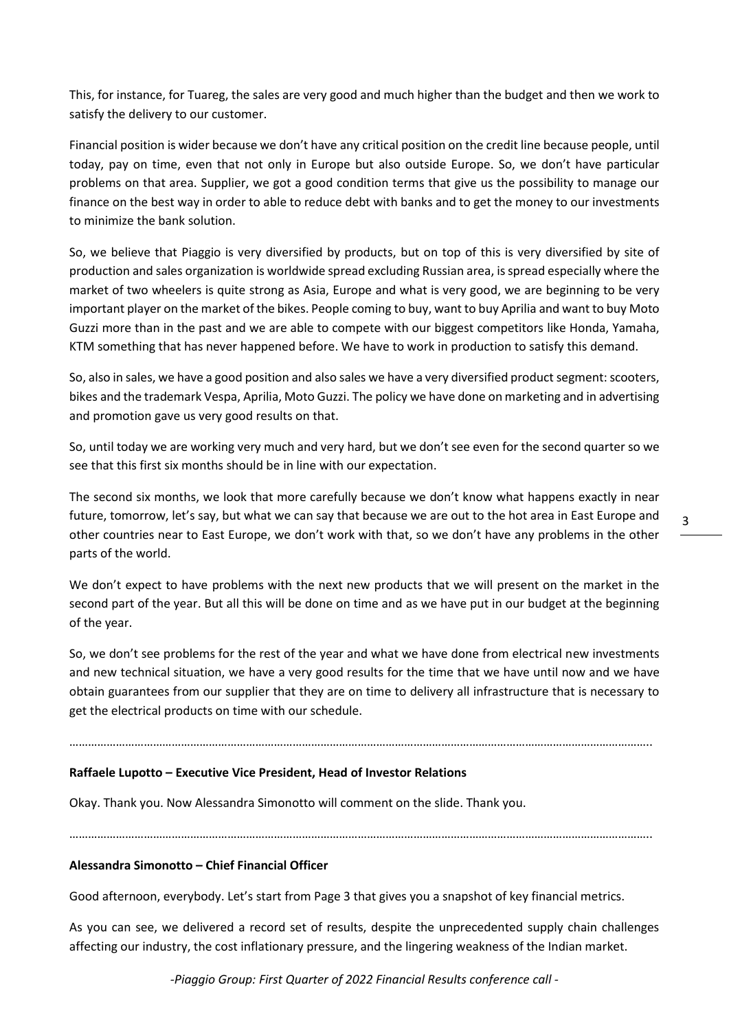This, for instance, for Tuareg, the sales are very good and much higher than the budget and then we work to satisfy the delivery to our customer.

Financial position is wider because we don't have any critical position on the credit line because people, until today, pay on time, even that not only in Europe but also outside Europe. So, we don't have particular problems on that area. Supplier, we got a good condition terms that give us the possibility to manage our finance on the best way in order to able to reduce debt with banks and to get the money to our investments to minimize the bank solution.

So, we believe that Piaggio is very diversified by products, but on top of this is very diversified by site of production and sales organization is worldwide spread excluding Russian area, is spread especially where the market of two wheelers is quite strong as Asia, Europe and what is very good, we are beginning to be very important player on the market of the bikes. People coming to buy, want to buy Aprilia and want to buy Moto Guzzi more than in the past and we are able to compete with our biggest competitors like Honda, Yamaha, KTM something that has never happened before. We have to work in production to satisfy this demand.

So, also in sales, we have a good position and also sales we have a very diversified product segment: scooters, bikes and the trademark Vespa, Aprilia, Moto Guzzi. The policy we have done on marketing and in advertising and promotion gave us very good results on that.

So, until today we are working very much and very hard, but we don't see even for the second quarter so we see that this first six months should be in line with our expectation.

The second six months, we look that more carefully because we don't know what happens exactly in near future, tomorrow, let's say, but what we can say that because we are out to the hot area in East Europe and other countries near to East Europe, we don't work with that, so we don't have any problems in the other parts of the world.

We don't expect to have problems with the next new products that we will present on the market in the second part of the year. But all this will be done on time and as we have put in our budget at the beginning of the year.

So, we don't see problems for the rest of the year and what we have done from electrical new investments and new technical situation, we have a very good results for the time that we have until now and we have obtain guarantees from our supplier that they are on time to delivery all infrastructure that is necessary to get the electrical products on time with our schedule.

# ……………………………………………………………………………………………………………………………………………………………………..

## **Raffaele Lupotto – Executive Vice President, Head of Investor Relations**

Okay. Thank you. Now Alessandra Simonotto will comment on the slide. Thank you.

……………………………………………………………………………………………………………………………………………………………………..

## **Alessandra Simonotto – Chief Financial Officer**

Good afternoon, everybody. Let's start from Page 3 that gives you a snapshot of key financial metrics.

As you can see, we delivered a record set of results, despite the unprecedented supply chain challenges affecting our industry, the cost inflationary pressure, and the lingering weakness of the Indian market.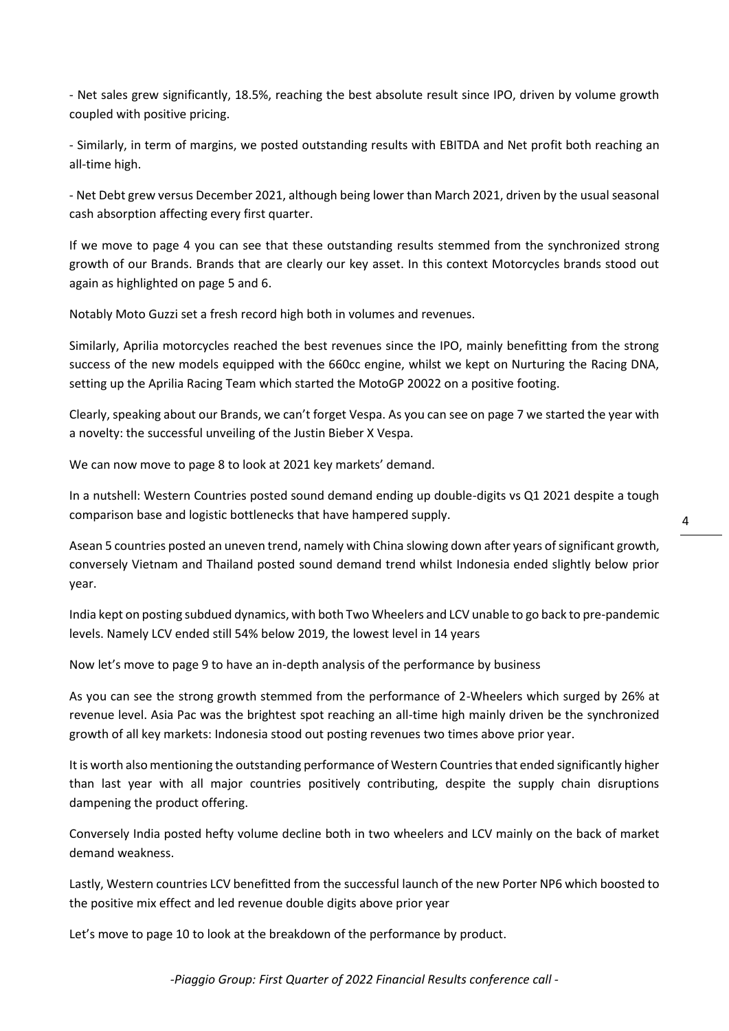- Net sales grew significantly, 18.5%, reaching the best absolute result since IPO, driven by volume growth coupled with positive pricing.

- Similarly, in term of margins, we posted outstanding results with EBITDA and Net profit both reaching an all-time high.

- Net Debt grew versus December 2021, although being lower than March 2021, driven by the usual seasonal cash absorption affecting every first quarter.

If we move to page 4 you can see that these outstanding results stemmed from the synchronized strong growth of our Brands. Brands that are clearly our key asset. In this context Motorcycles brands stood out again as highlighted on page 5 and 6.

Notably Moto Guzzi set a fresh record high both in volumes and revenues.

Similarly, Aprilia motorcycles reached the best revenues since the IPO, mainly benefitting from the strong success of the new models equipped with the 660cc engine, whilst we kept on Nurturing the Racing DNA, setting up the Aprilia Racing Team which started the MotoGP 20022 on a positive footing.

Clearly, speaking about our Brands, we can't forget Vespa. As you can see on page 7 we started the year with a novelty: the successful unveiling of the Justin Bieber X Vespa.

We can now move to page 8 to look at 2021 key markets' demand.

In a nutshell: Western Countries posted sound demand ending up double-digits vs Q1 2021 despite a tough comparison base and logistic bottlenecks that have hampered supply.

Asean 5 countries posted an uneven trend, namely with China slowing down after years of significant growth, conversely Vietnam and Thailand posted sound demand trend whilst Indonesia ended slightly below prior year.

India kept on posting subdued dynamics, with both Two Wheelers and LCV unable to go back to pre-pandemic levels. Namely LCV ended still 54% below 2019, the lowest level in 14 years

Now let's move to page 9 to have an in-depth analysis of the performance by business

As you can see the strong growth stemmed from the performance of 2-Wheelers which surged by 26% at revenue level. Asia Pac was the brightest spot reaching an all-time high mainly driven be the synchronized growth of all key markets: Indonesia stood out posting revenues two times above prior year.

It is worth also mentioning the outstanding performance of Western Countries that ended significantly higher than last year with all major countries positively contributing, despite the supply chain disruptions dampening the product offering.

Conversely India posted hefty volume decline both in two wheelers and LCV mainly on the back of market demand weakness.

Lastly, Western countries LCV benefitted from the successful launch of the new Porter NP6 which boosted to the positive mix effect and led revenue double digits above prior year

Let's move to page 10 to look at the breakdown of the performance by product.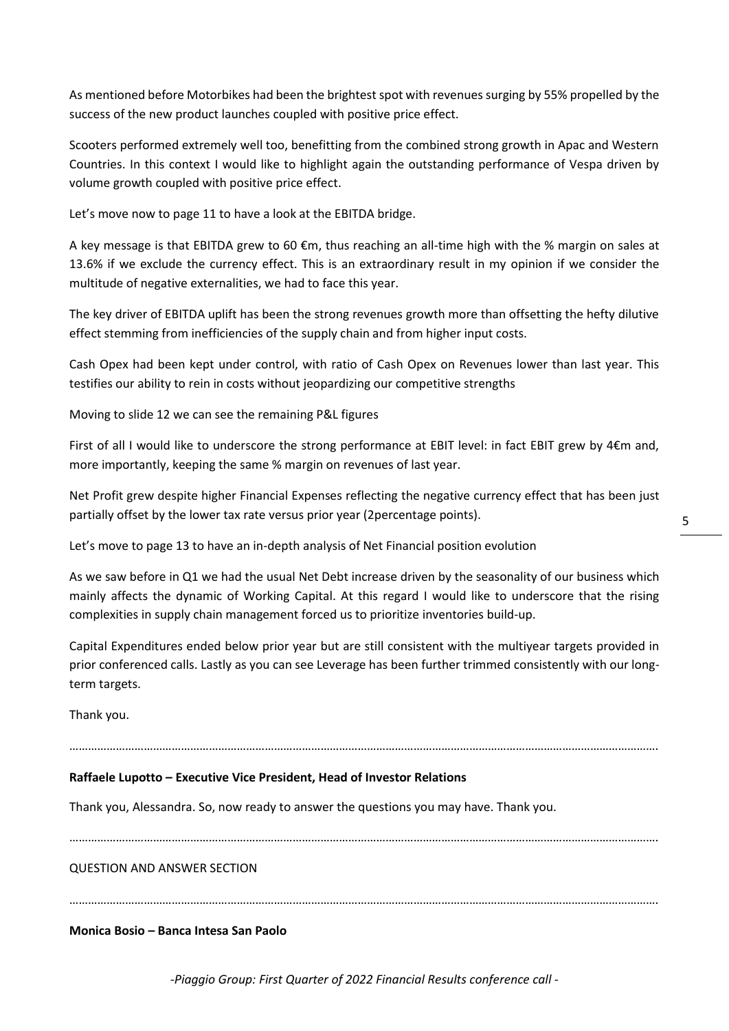As mentioned before Motorbikes had been the brightest spot with revenues surging by 55% propelled by the success of the new product launches coupled with positive price effect.

Scooters performed extremely well too, benefitting from the combined strong growth in Apac and Western Countries. In this context I would like to highlight again the outstanding performance of Vespa driven by volume growth coupled with positive price effect.

Let's move now to page 11 to have a look at the EBITDA bridge.

A key message is that EBITDA grew to 60  $\epsilon$ m, thus reaching an all-time high with the % margin on sales at 13.6% if we exclude the currency effect. This is an extraordinary result in my opinion if we consider the multitude of negative externalities, we had to face this year.

The key driver of EBITDA uplift has been the strong revenues growth more than offsetting the hefty dilutive effect stemming from inefficiencies of the supply chain and from higher input costs.

Cash Opex had been kept under control, with ratio of Cash Opex on Revenues lower than last year. This testifies our ability to rein in costs without jeopardizing our competitive strengths

Moving to slide 12 we can see the remaining P&L figures

First of all I would like to underscore the strong performance at EBIT level: in fact EBIT grew by 4€m and, more importantly, keeping the same % margin on revenues of last year.

Net Profit grew despite higher Financial Expenses reflecting the negative currency effect that has been just partially offset by the lower tax rate versus prior year (2percentage points).

Let's move to page 13 to have an in-depth analysis of Net Financial position evolution

As we saw before in Q1 we had the usual Net Debt increase driven by the seasonality of our business which mainly affects the dynamic of Working Capital. At this regard I would like to underscore that the rising complexities in supply chain management forced us to prioritize inventories build-up.

Capital Expenditures ended below prior year but are still consistent with the multiyear targets provided in prior conferenced calls. Lastly as you can see Leverage has been further trimmed consistently with our longterm targets.

Thank you.

……………………………………………………………………………………………………………………………………………………………………….

# **Raffaele Lupotto – Executive Vice President, Head of Investor Relations**

Thank you, Alessandra. So, now ready to answer the questions you may have. Thank you.

……………………………………………………………………………………………………………………………………………………………………….

QUESTION AND ANSWER SECTION

……………………………………………………………………………………………………………………………………………………………………….

**Monica Bosio – Banca Intesa San Paolo**

5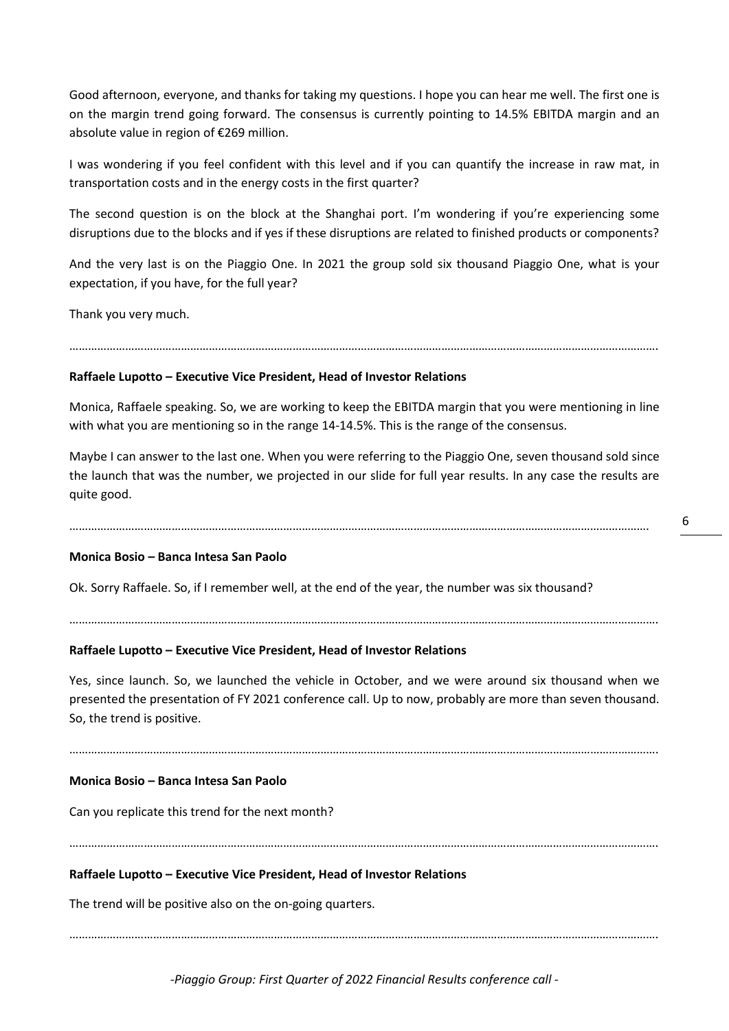Good afternoon, everyone, and thanks for taking my questions. I hope you can hear me well. The first one is on the margin trend going forward. The consensus is currently pointing to 14.5% EBITDA margin and an absolute value in region of €269 million.

I was wondering if you feel confident with this level and if you can quantify the increase in raw mat, in transportation costs and in the energy costs in the first quarter?

The second question is on the block at the Shanghai port. I'm wondering if you're experiencing some disruptions due to the blocks and if yes if these disruptions are related to finished products or components?

And the very last is on the Piaggio One. In 2021 the group sold six thousand Piaggio One, what is your expectation, if you have, for the full year?

Thank you very much.

……………………………………………………………………………………………………………………………………………………………………….

## **Raffaele Lupotto – Executive Vice President, Head of Investor Relations**

Monica, Raffaele speaking. So, we are working to keep the EBITDA margin that you were mentioning in line with what you are mentioning so in the range 14-14.5%. This is the range of the consensus.

Maybe I can answer to the last one. When you were referring to the Piaggio One, seven thousand sold since the launch that was the number, we projected in our slide for full year results. In any case the results are quite good.

…………………………………………………………………………………………………………………………………………………………………….

## **Monica Bosio – Banca Intesa San Paolo**

Ok. Sorry Raffaele. So, if I remember well, at the end of the year, the number was six thousand?

# **Raffaele Lupotto – Executive Vice President, Head of Investor Relations**

Yes, since launch. So, we launched the vehicle in October, and we were around six thousand when we presented the presentation of FY 2021 conference call. Up to now, probably are more than seven thousand. So, the trend is positive.

……………………………………………………………………………………………………………………………………………………………………….

……………………………………………………………………………………………………………………………………………………………………….

……………………………………………………………………………………………………………………………………………………………………….

### **Monica Bosio – Banca Intesa San Paolo**

Can you replicate this trend for the next month?

# **Raffaele Lupotto – Executive Vice President, Head of Investor Relations**

The trend will be positive also on the on-going quarters.

……………………………………………………………………………………………………………………………………………………………………….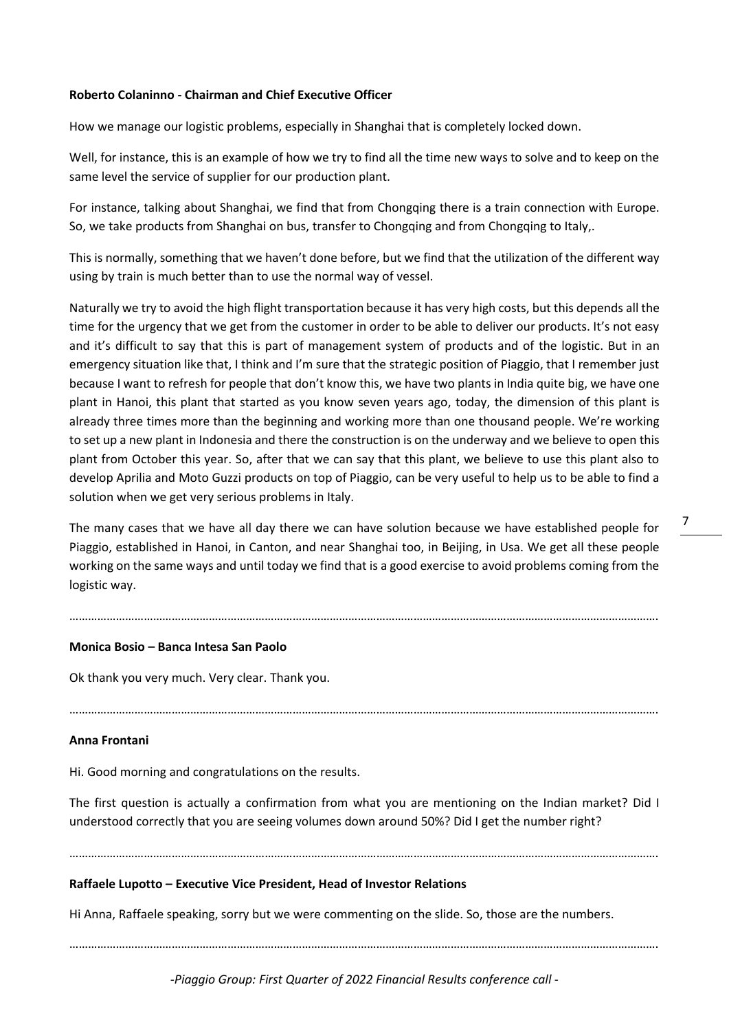# **Roberto Colaninno - Chairman and Chief Executive Officer**

How we manage our logistic problems, especially in Shanghai that is completely locked down.

Well, for instance, this is an example of how we try to find all the time new ways to solve and to keep on the same level the service of supplier for our production plant.

For instance, talking about Shanghai, we find that from Chongqing there is a train connection with Europe. So, we take products from Shanghai on bus, transfer to Chongqing and from Chongqing to Italy,.

This is normally, something that we haven't done before, but we find that the utilization of the different way using by train is much better than to use the normal way of vessel.

Naturally we try to avoid the high flight transportation because it has very high costs, but this depends all the time for the urgency that we get from the customer in order to be able to deliver our products. It's not easy and it's difficult to say that this is part of management system of products and of the logistic. But in an emergency situation like that, I think and I'm sure that the strategic position of Piaggio, that I remember just because I want to refresh for people that don't know this, we have two plants in India quite big, we have one plant in Hanoi, this plant that started as you know seven years ago, today, the dimension of this plant is already three times more than the beginning and working more than one thousand people. We're working to set up a new plant in Indonesia and there the construction is on the underway and we believe to open this plant from October this year. So, after that we can say that this plant, we believe to use this plant also to develop Aprilia and Moto Guzzi products on top of Piaggio, can be very useful to help us to be able to find a solution when we get very serious problems in Italy.

The many cases that we have all day there we can have solution because we have established people for Piaggio, established in Hanoi, in Canton, and near Shanghai too, in Beijing, in Usa. We get all these people working on the same ways and until today we find that is a good exercise to avoid problems coming from the logistic way.

……………………………………………………………………………………………………………………………………………………………………….

……………………………………………………………………………………………………………………………………………………………………….

### **Monica Bosio – Banca Intesa San Paolo**

Ok thank you very much. Very clear. Thank you.

### **Anna Frontani**

Hi. Good morning and congratulations on the results.

The first question is actually a confirmation from what you are mentioning on the Indian market? Did I understood correctly that you are seeing volumes down around 50%? Did I get the number right?

……………………………………………………………………………………………………………………………………………………………………….

### **Raffaele Lupotto – Executive Vice President, Head of Investor Relations**

Hi Anna, Raffaele speaking, sorry but we were commenting on the slide. So, those are the numbers.

……………………………………………………………………………………………………………………………………………………………………….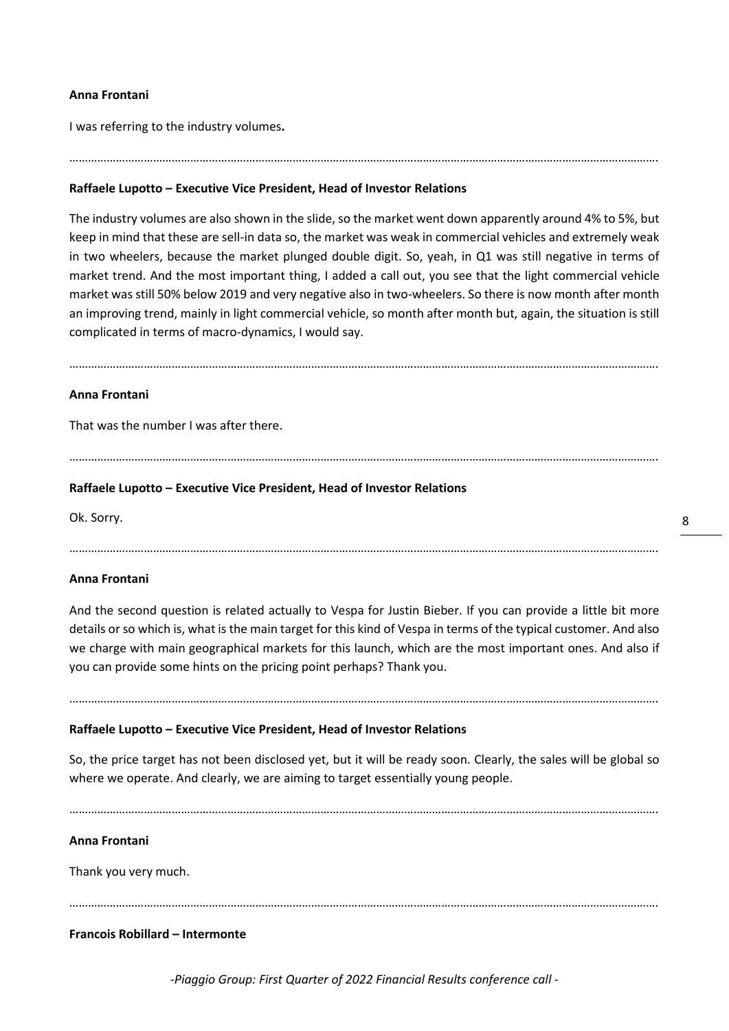# **Anna Frontani**

I was referring to the industry volumes**.**

# **Raffaele Lupotto – Executive Vice President, Head of Investor Relations**

The industry volumes are also shown in the slide, so the market went down apparently around 4% to 5%, but keep in mind that these are sell-in data so, the market was weak in commercial vehicles and extremely weak in two wheelers, because the market plunged double digit. So, yeah, in Q1 was still negative in terms of market trend. And the most important thing, I added a call out, you see that the light commercial vehicle market was still 50% below 2019 and very negative also in two-wheelers. So there is now month after month an improving trend, mainly in light commercial vehicle, so month after month but, again, the situation is still complicated in terms of macro-dynamics, I would say.

……………………………………………………………………………………………………………………………………………………………………….

……………………………………………………………………………………………………………………………………………………………………….

……………………………………………………………………………………………………………………………………………………………………….

## **Anna Frontani**

That was the number I was after there.

# **Raffaele Lupotto – Executive Vice President, Head of Investor Relations**

Ok. Sorry.

……………………………………………………………………………………………………………………………………………………………………….

### **Anna Frontani**

And the second question is related actually to Vespa for Justin Bieber. If you can provide a little bit more details or so which is, what is the main target for this kind of Vespa in terms of the typical customer. And also we charge with main geographical markets for this launch, which are the most important ones. And also if you can provide some hints on the pricing point perhaps? Thank you.

……………………………………………………………………………………………………………………………………………………………………….

## **Raffaele Lupotto – Executive Vice President, Head of Investor Relations**

So, the price target has not been disclosed yet, but it will be ready soon. Clearly, the sales will be global so where we operate. And clearly, we are aiming to target essentially young people.

……………………………………………………………………………………………………………………………………………………………………….

#### **Anna Frontani**

Thank you very much.

……………………………………………………………………………………………………………………………………………………………………….

### **Francois Robillard – Intermonte**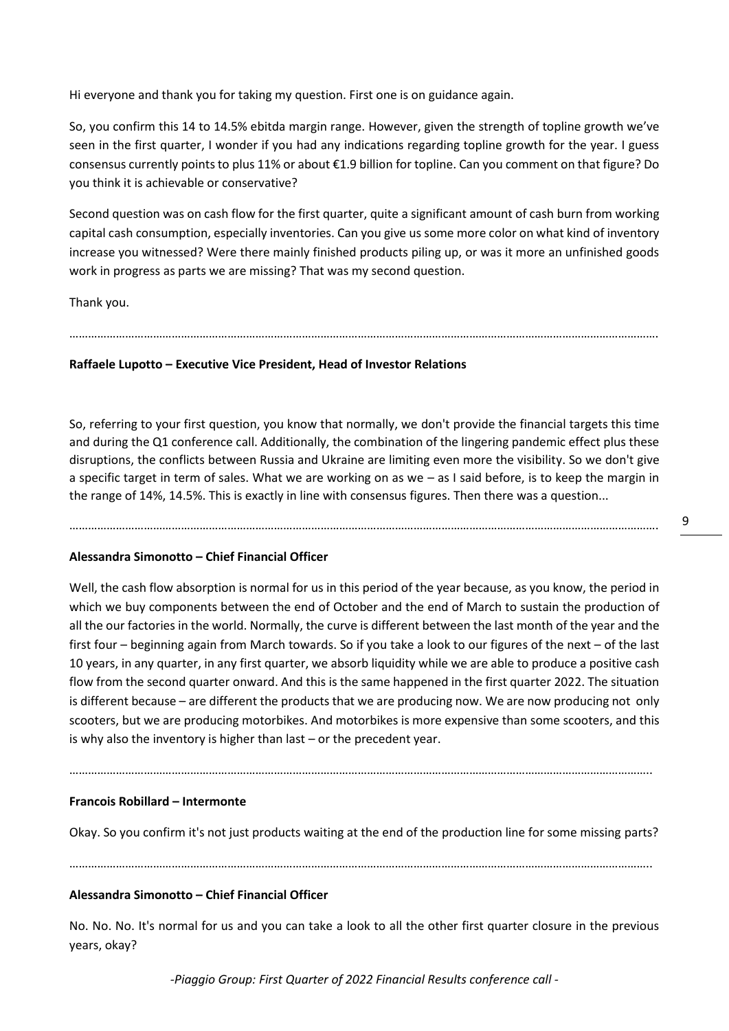Hi everyone and thank you for taking my question. First one is on guidance again.

So, you confirm this 14 to 14.5% ebitda margin range. However, given the strength of topline growth we've seen in the first quarter, I wonder if you had any indications regarding topline growth for the year. I guess consensus currently points to plus 11% or about €1.9 billion for topline. Can you comment on that figure? Do you think it is achievable or conservative?

Second question was on cash flow for the first quarter, quite a significant amount of cash burn from working capital cash consumption, especially inventories. Can you give us some more color on what kind of inventory increase you witnessed? Were there mainly finished products piling up, or was it more an unfinished goods work in progress as parts we are missing? That was my second question.

Thank you.

……………………………………………………………………………………………………………………………………………………………………….

# **Raffaele Lupotto – Executive Vice President, Head of Investor Relations**

So, referring to your first question, you know that normally, we don't provide the financial targets this time and during the Q1 conference call. Additionally, the combination of the lingering pandemic effect plus these disruptions, the conflicts between Russia and Ukraine are limiting even more the visibility. So we don't give a specific target in term of sales. What we are working on as we – as I said before, is to keep the margin in the range of 14%, 14.5%. This is exactly in line with consensus figures. Then there was a question...

……………………………………………………………………………………………………………………………………………………………………….

# **Alessandra Simonotto – Chief Financial Officer**

Well, the cash flow absorption is normal for us in this period of the year because, as you know, the period in which we buy components between the end of October and the end of March to sustain the production of all the our factories in the world. Normally, the curve is different between the last month of the year and the first four – beginning again from March towards. So if you take a look to our figures of the next – of the last 10 years, in any quarter, in any first quarter, we absorb liquidity while we are able to produce a positive cash flow from the second quarter onward. And this is the same happened in the first quarter 2022. The situation is different because – are different the products that we are producing now. We are now producing not only scooters, but we are producing motorbikes. And motorbikes is more expensive than some scooters, and this is why also the inventory is higher than last – or the precedent year.

……………………………………………………………………………………………………………………………………………………………………..

# **Francois Robillard – Intermonte**

Okay. So you confirm it's not just products waiting at the end of the production line for some missing parts?

……………………………………………………………………………………………………………………………………………………………………..

# **Alessandra Simonotto – Chief Financial Officer**

No. No. No. It's normal for us and you can take a look to all the other first quarter closure in the previous years, okay?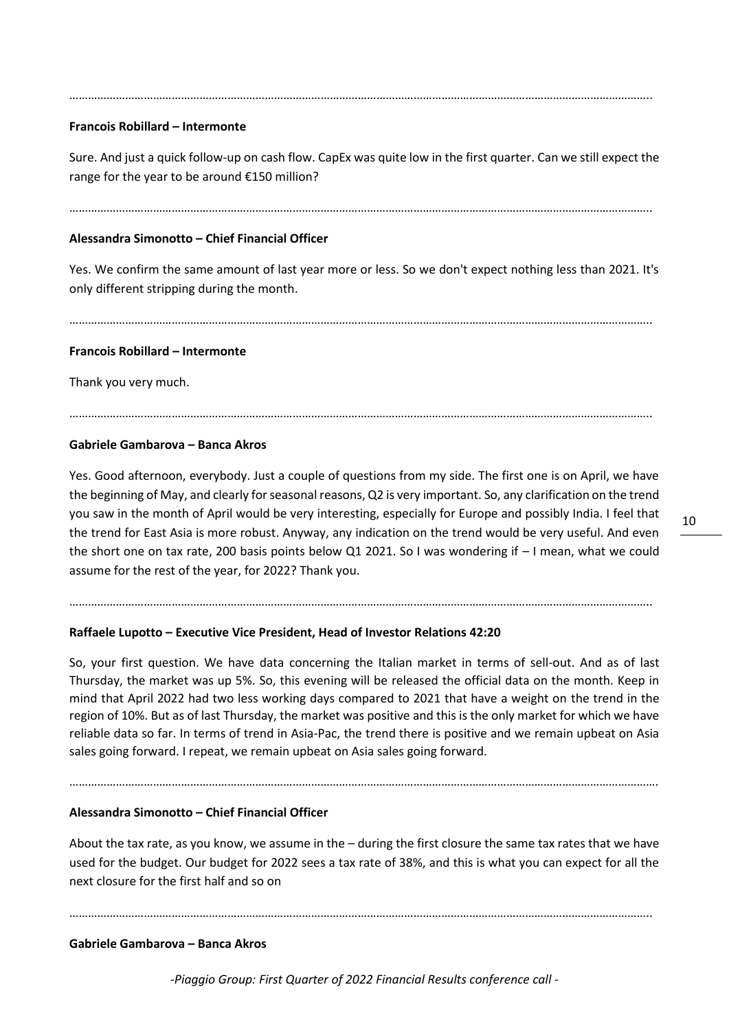#### ……………………………………………………………………………………………………………………………………………………………………..

## **Francois Robillard – Intermonte**

Sure. And just a quick follow-up on cash flow. CapEx was quite low in the first quarter. Can we still expect the range for the year to be around €150 million?

……………………………………………………………………………………………………………………………………………………………………..

## **Alessandra Simonotto – Chief Financial Officer**

Yes. We confirm the same amount of last year more or less. So we don't expect nothing less than 2021. It's only different stripping during the month.

……………………………………………………………………………………………………………………………………………………………………..

……………………………………………………………………………………………………………………………………………………………………..

#### **Francois Robillard – Intermonte**

Thank you very much.

# **Gabriele Gambarova – Banca Akros**

Yes. Good afternoon, everybody. Just a couple of questions from my side. The first one is on April, we have the beginning of May, and clearly for seasonal reasons, Q2 is very important. So, any clarification on the trend you saw in the month of April would be very interesting, especially for Europe and possibly India. I feel that the trend for East Asia is more robust. Anyway, any indication on the trend would be very useful. And even the short one on tax rate, 200 basis points below Q1 2021. So I was wondering if – I mean, what we could assume for the rest of the year, for 2022? Thank you.

……………………………………………………………………………………………………………………………………………………………………..

# **Raffaele Lupotto – Executive Vice President, Head of Investor Relations 42:20**

So, your first question. We have data concerning the Italian market in terms of sell-out. And as of last Thursday, the market was up 5%. So, this evening will be released the official data on the month. Keep in mind that April 2022 had two less working days compared to 2021 that have a weight on the trend in the region of 10%. But as of last Thursday, the market was positive and this is the only market for which we have reliable data so far. In terms of trend in Asia-Pac, the trend there is positive and we remain upbeat on Asia sales going forward. I repeat, we remain upbeat on Asia sales going forward.

……………………………………………………………………………………………………………………………………………………………………….

### **Alessandra Simonotto – Chief Financial Officer**

About the tax rate, as you know, we assume in the – during the first closure the same tax rates that we have used for the budget. Our budget for 2022 sees a tax rate of 38%, and this is what you can expect for all the next closure for the first half and so on

……………………………………………………………………………………………………………………………………………………………………..

# **Gabriele Gambarova – Banca Akros**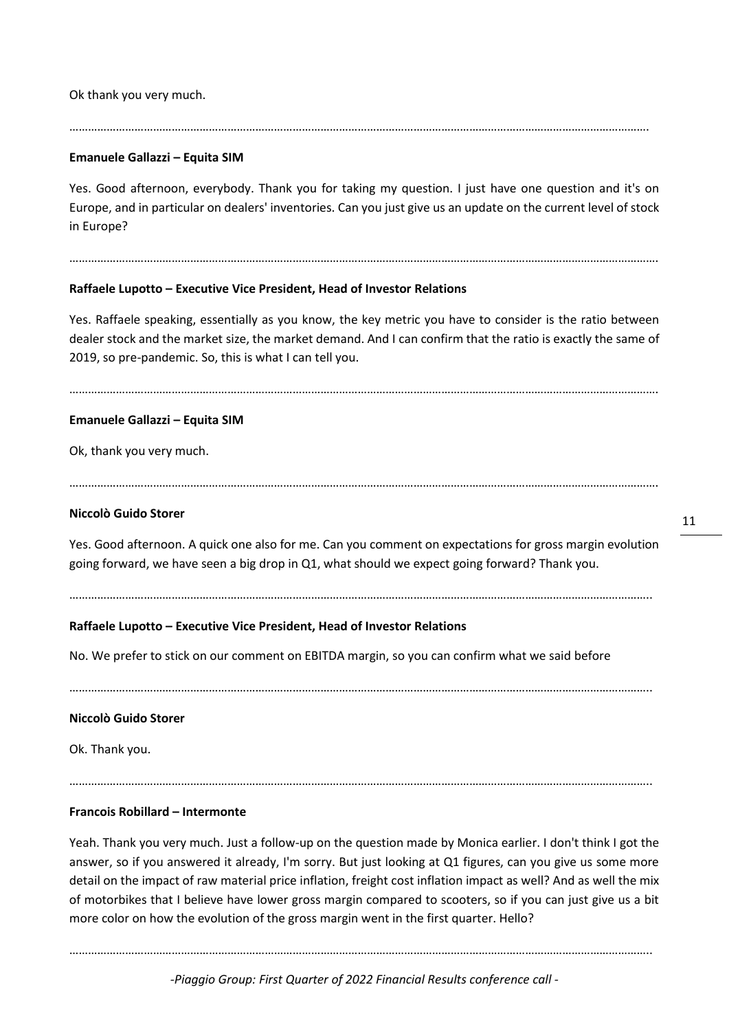Ok thank you very much.

## …………………………………………………………………………………………………………………………………………………………………….

# **Emanuele Gallazzi – Equita SIM**

Yes. Good afternoon, everybody. Thank you for taking my question. I just have one question and it's on Europe, and in particular on dealers' inventories. Can you just give us an update on the current level of stock in Europe?

……………………………………………………………………………………………………………………………………………………………………….

# **Raffaele Lupotto – Executive Vice President, Head of Investor Relations**

Yes. Raffaele speaking, essentially as you know, the key metric you have to consider is the ratio between dealer stock and the market size, the market demand. And I can confirm that the ratio is exactly the same of 2019, so pre-pandemic. So, this is what I can tell you.

……………………………………………………………………………………………………………………………………………………………………….

# **Emanuele Gallazzi – Equita SIM**

Ok, thank you very much.

……………………………………………………………………………………………………………………………………………………………………….

# **Niccolò Guido Storer**

Yes. Good afternoon. A quick one also for me. Can you comment on expectations for gross margin evolution going forward, we have seen a big drop in Q1, what should we expect going forward? Thank you.

……………………………………………………………………………………………………………………………………………………………………..

# **Raffaele Lupotto – Executive Vice President, Head of Investor Relations**

No. We prefer to stick on our comment on EBITDA margin, so you can confirm what we said before

……………………………………………………………………………………………………………………………………………………………………..

# **Niccolò Guido Storer**

Ok. Thank you.

……………………………………………………………………………………………………………………………………………………………………..

# **Francois Robillard – Intermonte**

Yeah. Thank you very much. Just a follow-up on the question made by Monica earlier. I don't think I got the answer, so if you answered it already, I'm sorry. But just looking at Q1 figures, can you give us some more detail on the impact of raw material price inflation, freight cost inflation impact as well? And as well the mix of motorbikes that I believe have lower gross margin compared to scooters, so if you can just give us a bit more color on how the evolution of the gross margin went in the first quarter. Hello?

……………………………………………………………………………………………………………………………………………………………………..